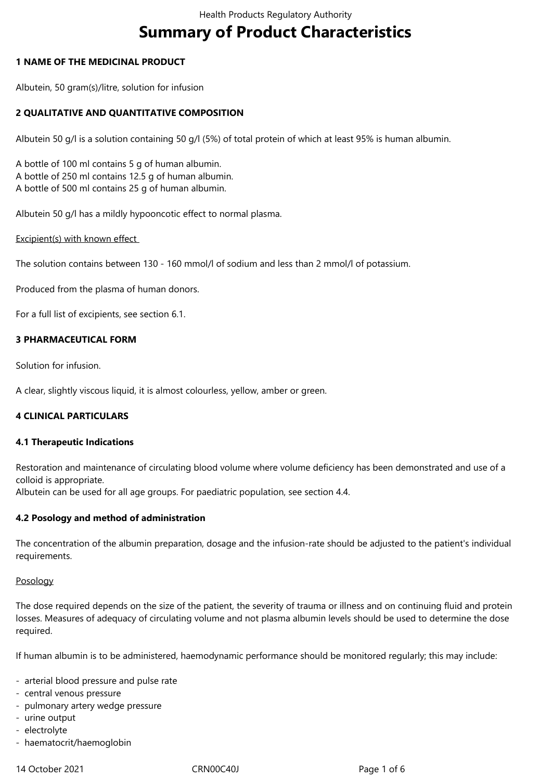# **Summary of Product Characteristics**

## **1 NAME OF THE MEDICINAL PRODUCT**

Albutein, 50 gram(s)/litre, solution for infusion

## **2 QUALITATIVE AND QUANTITATIVE COMPOSITION**

Albutein 50 g/l is a solution containing 50 g/l (5%) of total protein of which at least 95% is human albumin.

A bottle of 100 ml contains 5 g of human albumin. A bottle of 250 ml contains 12.5 g of human albumin. A bottle of 500 ml contains 25 g of human albumin.

Albutein 50 g/l has a mildly hypooncotic effect to normal plasma.

Excipient(s) with known effect

The solution contains between 130 - 160 mmol/l of sodium and less than 2 mmol/l of potassium.

Produced from the plasma of human donors.

For a full list of excipients, see section 6.1.

## **3 PHARMACEUTICAL FORM**

Solution for infusion.

A clear, slightly viscous liquid, it is almost colourless, yellow, amber or green.

# **4 CLINICAL PARTICULARS**

#### **4.1 Therapeutic Indications**

Restoration and maintenance of circulating blood volume where volume deficiency has been demonstrated and use of a colloid is appropriate.

Albutein can be used for all age groups. For paediatric population, see section 4.4.

#### **4.2 Posology and method of administration**

The concentration of the albumin preparation, dosage and the infusion-rate should be adjusted to the patient's individual requirements.

#### Posology

The dose required depends on the size of the patient, the severity of trauma or illness and on continuing fluid and protein losses. Measures of adequacy of circulating volume and not plasma albumin levels should be used to determine the dose required.

If human albumin is to be administered, haemodynamic performance should be monitored regularly; this may include:

- arterial blood pressure and pulse rate
- central venous pressure
- pulmonary artery wedge pressure
- urine output
- electrolyte
- haematocrit/haemoglobin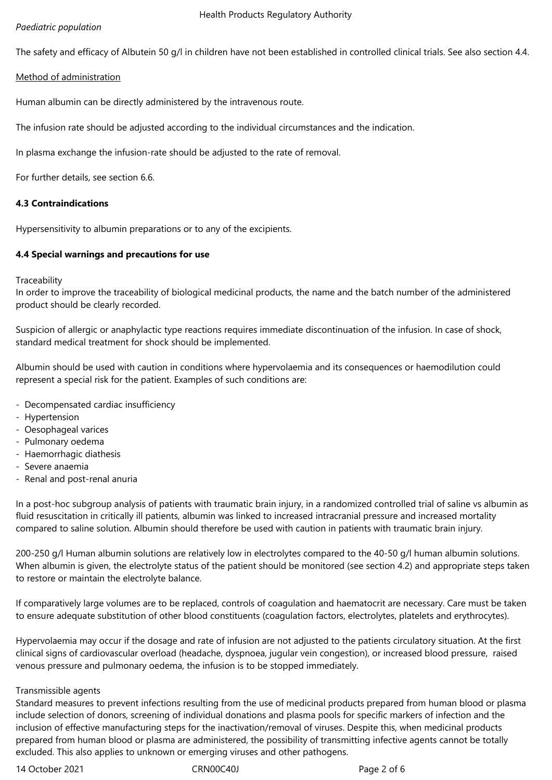## Health Products Regulatory Authority

## *Paediatric population*

The safety and efficacy of Albutein 50 g/l in children have not been established in controlled clinical trials. See also section 4.4.

## Method of administration

Human albumin can be directly administered by the intravenous route.

The infusion rate should be adjusted according to the individual circumstances and the indication.

In plasma exchange the infusion-rate should be adjusted to the rate of removal.

For further details, see section 6.6.

## **4.3 Contraindications**

Hypersensitivity to albumin preparations or to any of the excipients.

## **4.4 Special warnings and precautions for use**

**Traceability** 

In order to improve the traceability of biological medicinal products, the name and the batch number of the administered product should be clearly recorded.

Suspicion of allergic or anaphylactic type reactions requires immediate discontinuation of the infusion. In case of shock, standard medical treatment for shock should be implemented.

Albumin should be used with caution in conditions where hypervolaemia and its consequences or haemodilution could represent a special risk for the patient. Examples of such conditions are:

- Decompensated cardiac insufficiency
- Hypertension
- Oesophageal varices
- Pulmonary oedema
- Haemorrhagic diathesis
- Severe anaemia
- Renal and post-renal anuria

In a post-hoc subgroup analysis of patients with traumatic brain injury, in a randomized controlled trial of saline vs albumin as fluid resuscitation in critically ill patients, albumin was linked to increased intracranial pressure and increased mortality compared to saline solution. Albumin should therefore be used with caution in patients with traumatic brain injury.

200-250 g/l Human albumin solutions are relatively low in electrolytes compared to the 40-50 g/l human albumin solutions. When albumin is given, the electrolyte status of the patient should be monitored (see section 4.2) and appropriate steps taken to restore or maintain the electrolyte balance.

If comparatively large volumes are to be replaced, controls of coagulation and haematocrit are necessary. Care must be taken to ensure adequate substitution of other blood constituents (coagulation factors, electrolytes, platelets and erythrocytes).

Hypervolaemia may occur if the dosage and rate of infusion are not adjusted to the patients circulatory situation. At the first clinical signs of cardiovascular overload (headache, dyspnoea, jugular vein congestion), or increased blood pressure, raised venous pressure and pulmonary oedema, the infusion is to be stopped immediately.

#### Transmissible agents

Standard measures to prevent infections resulting from the use of medicinal products prepared from human blood or plasma include selection of donors, screening of individual donations and plasma pools for specific markers of infection and the inclusion of effective manufacturing steps for the inactivation/removal of viruses. Despite this, when medicinal products prepared from human blood or plasma are administered, the possibility of transmitting infective agents cannot be totally excluded. This also applies to unknown or emerging viruses and other pathogens.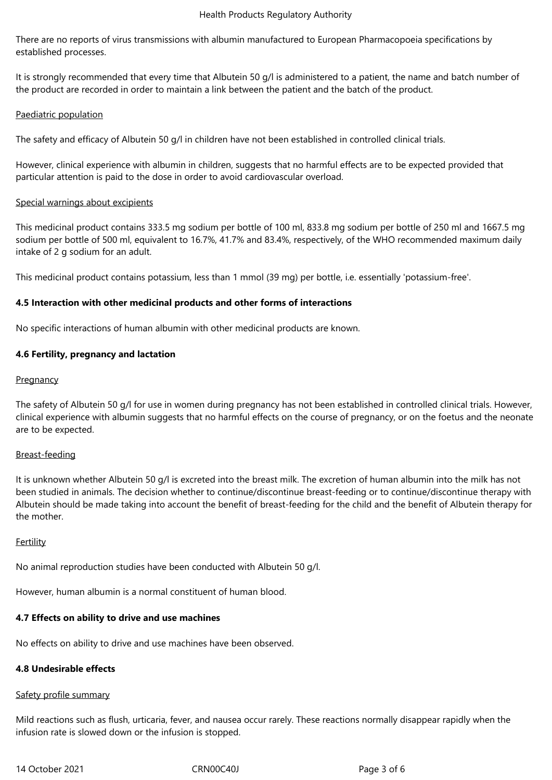#### Health Products Regulatory Authority

There are no reports of virus transmissions with albumin manufactured to European Pharmacopoeia specifications by established processes.

It is strongly recommended that every time that Albutein 50 g/l is administered to a patient, the name and batch number of the product are recorded in order to maintain a link between the patient and the batch of the product.

## Paediatric population

The safety and efficacy of Albutein 50 g/l in children have not been established in controlled clinical trials.

However, clinical experience with albumin in children, suggests that no harmful effects are to be expected provided that particular attention is paid to the dose in order to avoid cardiovascular overload.

## Special warnings about excipients

This medicinal product contains 333.5 mg sodium per bottle of 100 ml, 833.8 mg sodium per bottle of 250 ml and 1667.5 mg sodium per bottle of 500 ml, equivalent to 16.7%, 41.7% and 83.4%, respectively, of the WHO recommended maximum daily intake of 2 g sodium for an adult.

This medicinal product contains potassium, less than 1 mmol (39 mg) per bottle, i.e. essentially 'potassium-free'.

## **4.5 Interaction with other medicinal products and other forms of interactions**

No specific interactions of human albumin with other medicinal products are known.

## **4.6 Fertility, pregnancy and lactation**

## **Pregnancy**

The safety of Albutein 50 g/l for use in women during pregnancy has not been established in controlled clinical trials. However, clinical experience with albumin suggests that no harmful effects on the course of pregnancy, or on the foetus and the neonate are to be expected.

#### Breast-feeding

It is unknown whether Albutein 50 g/l is excreted into the breast milk. The excretion of human albumin into the milk has not been studied in animals. The decision whether to continue/discontinue breast-feeding or to continue/discontinue therapy with Albutein should be made taking into account the benefit of breast-feeding for the child and the benefit of Albutein therapy for the mother.

#### **Fertility**

No animal reproduction studies have been conducted with Albutein 50 g/l.

However, human albumin is a normal constituent of human blood.

# **4.7 Effects on ability to drive and use machines**

No effects on ability to drive and use machines have been observed.

#### **4.8 Undesirable effects**

#### Safety profile summary

Mild reactions such as flush, urticaria, fever, and nausea occur rarely. These reactions normally disappear rapidly when the infusion rate is slowed down or the infusion is stopped.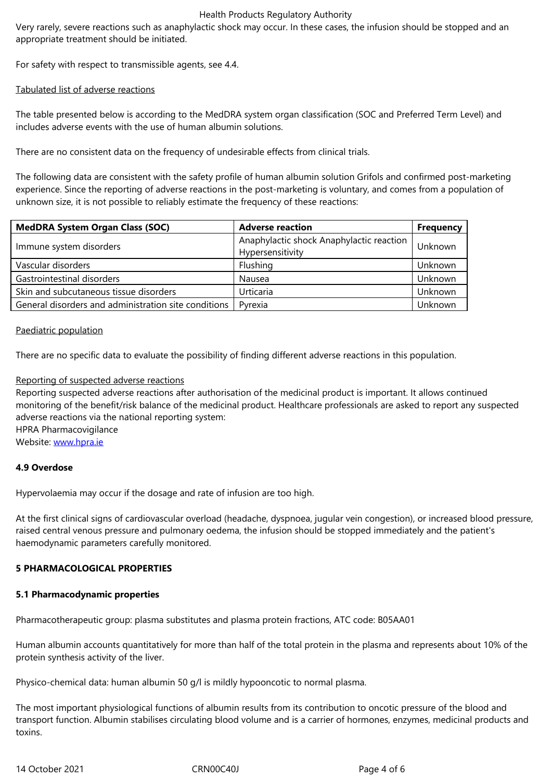For safety with respect to transmissible agents, see 4.4.

## Tabulated list of adverse reactions

The table presented below is according to the MedDRA system organ classification (SOC and Preferred Term Level) and includes adverse events with the use of human albumin solutions.

There are no consistent data on the frequency of undesirable effects from clinical trials.

The following data are consistent with the safety profile of human albumin solution Grifols and confirmed post-marketing experience. Since the reporting of adverse reactions in the post-marketing is voluntary, and comes from a population of unknown size, it is not possible to reliably estimate the frequency of these reactions:

| <b>MedDRA System Organ Class (SOC)</b>               | <b>Adverse reaction</b>                                      | <b>Frequency</b> |
|------------------------------------------------------|--------------------------------------------------------------|------------------|
| Immune system disorders                              | Anaphylactic shock Anaphylactic reaction<br>Hypersensitivity | Unknown          |
| Vascular disorders                                   | Flushing                                                     | Unknown          |
| Gastrointestinal disorders                           | Nausea                                                       | Unknown          |
| Skin and subcutaneous tissue disorders               | Urticaria                                                    | Unknown          |
| General disorders and administration site conditions | Pyrexia                                                      | Unknown          |

#### Paediatric population

There are no specific data to evaluate the possibility of finding different adverse reactions in this population.

## Reporting of suspected adverse reactions

Reporting suspected adverse reactions after authorisation of the medicinal product is important. It allows continued monitoring of the benefit/risk balance of the medicinal product. Healthcare professionals are asked to report any suspected adverse reactions via the national reporting system: HPRA Pharmacovigilance

Website: www.hpra.ie

#### **4.9 Overdose**

Hypervol[aemia may o](http://www.hpra.ie/)ccur if the dosage and rate of infusion are too high.

At the first clinical signs of cardiovascular overload (headache, dyspnoea, jugular vein congestion), or increased blood pressure, raised central venous pressure and pulmonary oedema, the infusion should be stopped immediately and the patient's haemodynamic parameters carefully monitored.

#### **5 PHARMACOLOGICAL PROPERTIES**

#### **5.1 Pharmacodynamic properties**

Pharmacotherapeutic group: plasma substitutes and plasma protein fractions, ATC code: B05AA01

Human albumin accounts quantitatively for more than half of the total protein in the plasma and represents about 10% of the protein synthesis activity of the liver.

Physico-chemical data: human albumin 50 g/l is mildly hypooncotic to normal plasma.

The most important physiological functions of albumin results from its contribution to oncotic pressure of the blood and transport function. Albumin stabilises circulating blood volume and is a carrier of hormones, enzymes, medicinal products and toxins.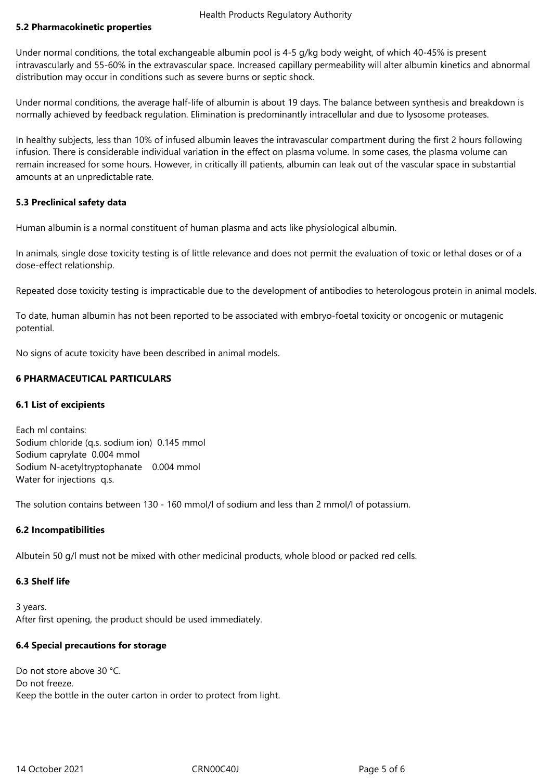## **5.2 Pharmacokinetic properties**

Under normal conditions, the total exchangeable albumin pool is 4-5 g/kg body weight, of which 40-45% is present intravascularly and 55-60% in the extravascular space. Increased capillary permeability will alter albumin kinetics and abnormal distribution may occur in conditions such as severe burns or septic shock.

Under normal conditions, the average half-life of albumin is about 19 days. The balance between synthesis and breakdown is normally achieved by feedback regulation. Elimination is predominantly intracellular and due to lysosome proteases.

In healthy subjects, less than 10% of infused albumin leaves the intravascular compartment during the first 2 hours following infusion. There is considerable individual variation in the effect on plasma volume. In some cases, the plasma volume can remain increased for some hours. However, in critically ill patients, albumin can leak out of the vascular space in substantial amounts at an unpredictable rate.

## **5.3 Preclinical safety data**

Human albumin is a normal constituent of human plasma and acts like physiological albumin.

In animals, single dose toxicity testing is of little relevance and does not permit the evaluation of toxic or lethal doses or of a dose-effect relationship.

Repeated dose toxicity testing is impracticable due to the development of antibodies to heterologous protein in animal models.

To date, human albumin has not been reported to be associated with embryo-foetal toxicity or oncogenic or mutagenic potential.

No signs of acute toxicity have been described in animal models.

## **6 PHARMACEUTICAL PARTICULARS**

#### **6.1 List of excipients**

Each ml contains: Sodium chloride (q.s. sodium ion) 0.145 mmol Sodium caprylate 0.004 mmol Sodium N-acetyltryptophanate 0.004 mmol Water for injections q.s.

The solution contains between 130 - 160 mmol/l of sodium and less than 2 mmol/l of potassium.

# **6.2 Incompatibilities**

Albutein 50 g/l must not be mixed with other medicinal products, whole blood or packed red cells.

# **6.3 Shelf life**

3 years. After first opening, the product should be used immediately.

#### **6.4 Special precautions for storage**

Do not store above 30 °C. Do not freeze. Keep the bottle in the outer carton in order to protect from light.